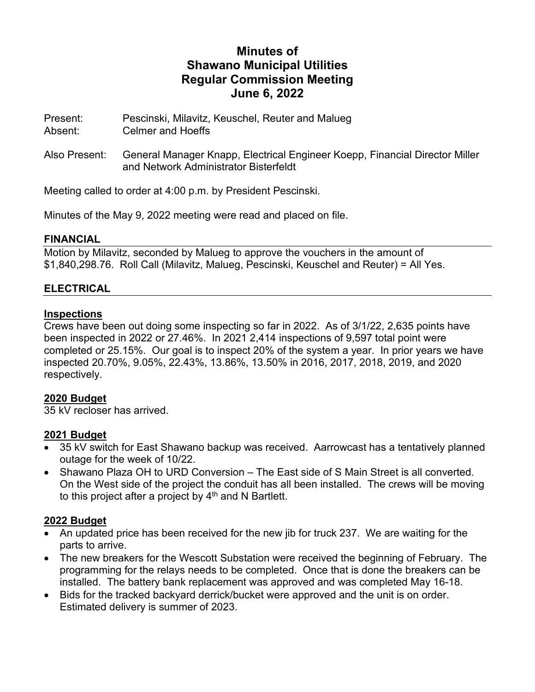# **Minutes of Shawano Municipal Utilities Regular Commission Meeting June 6, 2022**

Present: Pescinski, Milavitz, Keuschel, Reuter and Malueg Absent: Celmer and Hoeffs

Also Present: General Manager Knapp, Electrical Engineer Koepp, Financial Director Miller and Network Administrator Bisterfeldt

Meeting called to order at 4:00 p.m. by President Pescinski.

Minutes of the May 9, 2022 meeting were read and placed on file.

### **FINANCIAL**

Motion by Milavitz, seconded by Malueg to approve the vouchers in the amount of \$1,840,298.76. Roll Call (Milavitz, Malueg, Pescinski, Keuschel and Reuter) = All Yes.

# **ELECTRICAL**

### **Inspections**

Crews have been out doing some inspecting so far in 2022. As of 3/1/22, 2,635 points have been inspected in 2022 or 27.46%. In 2021 2,414 inspections of 9,597 total point were completed or 25.15%. Our goal is to inspect 20% of the system a year. In prior years we have inspected 20.70%, 9.05%, 22.43%, 13.86%, 13.50% in 2016, 2017, 2018, 2019, and 2020 respectively.

# **2020 Budget**

35 kV recloser has arrived.

# **2021 Budget**

- 35 kV switch for East Shawano backup was received. Aarrowcast has a tentatively planned outage for the week of 10/22.
- Shawano Plaza OH to URD Conversion The East side of S Main Street is all converted. On the West side of the project the conduit has all been installed. The crews will be moving to this project after a project by  $4<sup>th</sup>$  and N Bartlett.

# **2022 Budget**

- An updated price has been received for the new jib for truck 237. We are waiting for the parts to arrive.
- The new breakers for the Wescott Substation were received the beginning of February. The programming for the relays needs to be completed. Once that is done the breakers can be installed. The battery bank replacement was approved and was completed May 16-18.
- Bids for the tracked backyard derrick/bucket were approved and the unit is on order. Estimated delivery is summer of 2023.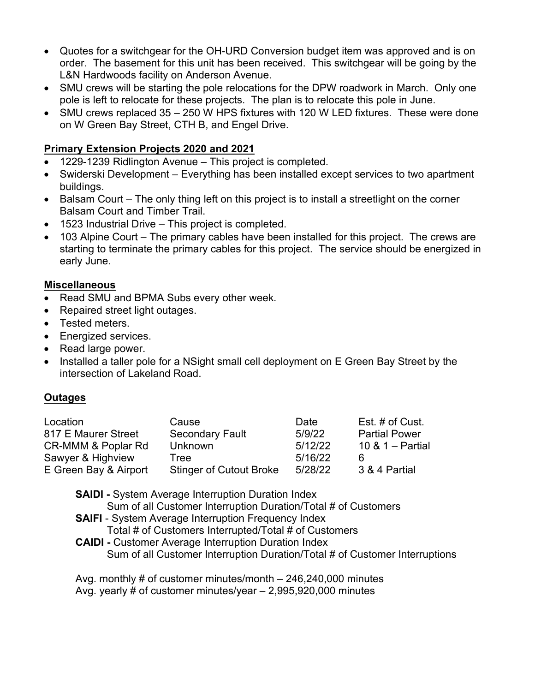- Quotes for a switchgear for the OH-URD Conversion budget item was approved and is on order. The basement for this unit has been received. This switchgear will be going by the L&N Hardwoods facility on Anderson Avenue.
- SMU crews will be starting the pole relocations for the DPW roadwork in March. Only one pole is left to relocate for these projects. The plan is to relocate this pole in June.
- SMU crews replaced 35 250 W HPS fixtures with 120 W LED fixtures. These were done on W Green Bay Street, CTH B, and Engel Drive.

# **Primary Extension Projects 2020 and 2021**

- 1229-1239 Ridlington Avenue This project is completed.
- Swiderski Development Everything has been installed except services to two apartment buildings.
- Balsam Court The only thing left on this project is to install a streetlight on the corner Balsam Court and Timber Trail.
- 1523 Industrial Drive This project is completed.
- 103 Alpine Court The primary cables have been installed for this project. The crews are starting to terminate the primary cables for this project. The service should be energized in early June.

# **Miscellaneous**

- Read SMU and BPMA Subs every other week.
- Repaired street light outages.
- Tested meters.
- Energized services.
- Read large power.
- Installed a taller pole for a NSight small cell deployment on E Green Bay Street by the intersection of Lakeland Road.

# **Outages**

| Location              | Cause                          | Date    | Est. # of Cust.      |
|-----------------------|--------------------------------|---------|----------------------|
| 817 E Maurer Street   | <b>Secondary Fault</b>         | 5/9/22  | <b>Partial Power</b> |
| CR-MMM & Poplar Rd    | <b>Unknown</b>                 | 5/12/22 | 10 & $1 -$ Partial   |
| Sawyer & Highview     | Tree                           | 5/16/22 | 6                    |
| E Green Bay & Airport | <b>Stinger of Cutout Broke</b> | 5/28/22 | 3 & 4 Partial        |

**SAIDI** - System Average Interruption Duration Index Sum of all Customer Interruption Duration/Total # of Customers **SAIFI** - System Average Interruption Frequency Index Total # of Customers Interrupted/Total # of Customers **CAIDI -** Customer Average Interruption Duration Index

Sum of all Customer Interruption Duration/Total # of Customer Interruptions

Avg. monthly # of customer minutes/month – 246,240,000 minutes Avg. yearly # of customer minutes/year – 2,995,920,000 minutes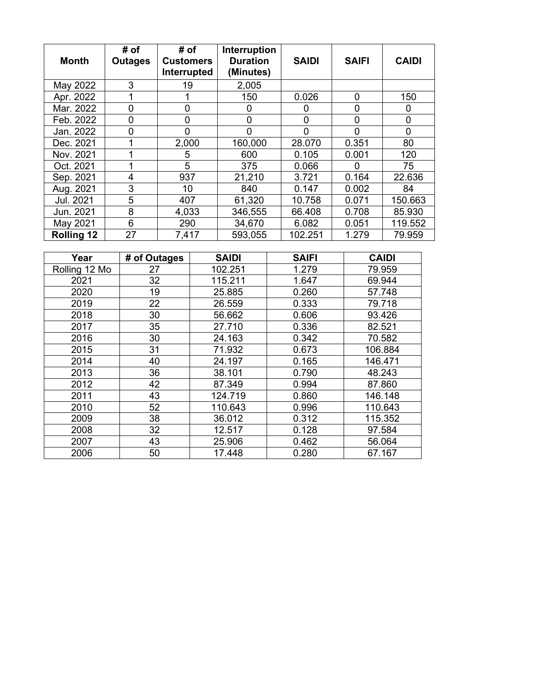| <b>Month</b>      | # of<br><b>Outages</b> | # of<br><b>Customers</b><br>Interrupted | Interruption<br><b>Duration</b><br>(Minutes) | <b>SAIDI</b> | <b>SAIFI</b> | <b>CAIDI</b> |
|-------------------|------------------------|-----------------------------------------|----------------------------------------------|--------------|--------------|--------------|
| May 2022          | 3                      | 19                                      | 2,005                                        |              |              |              |
| Apr. 2022         |                        |                                         | 150                                          | 0.026        | 0            | 150          |
| Mar. 2022         | $\overline{0}$         | 0                                       | 0                                            | 0            | $\Omega$     | 0            |
| Feb. 2022         | 0                      | 0                                       | 0                                            | 0            | $\mathbf 0$  | 0            |
| Jan. 2022         | 0                      | 0                                       | ∩                                            | 0            | $\Omega$     | 0            |
| Dec. 2021         |                        | 2,000                                   | 160,000                                      | 28.070       | 0.351        | 80           |
| Nov. 2021         | 1                      | 5                                       | 600                                          | 0.105        | 0.001        | 120          |
| Oct. 2021         |                        | 5                                       | 375                                          | 0.066        | 0            | 75           |
| Sep. 2021         | 4                      | 937                                     | 21,210                                       | 3.721        | 0.164        | 22.636       |
| Aug. 2021         | 3                      | 10                                      | 840                                          | 0.147        | 0.002        | 84           |
| Jul. 2021         | 5                      | 407                                     | 61,320                                       | 10.758       | 0.071        | 150.663      |
| Jun. 2021         | 8                      | 4,033                                   | 346,555                                      | 66.408       | 0.708        | 85.930       |
| May 2021          | 6                      | 290                                     | 34,670                                       | 6.082        | 0.051        | 119.552      |
| <b>Rolling 12</b> | 27                     | 7,417                                   | 593,055                                      | 102.251      | 1.279        | 79.959       |

| Year          | # of Outages | <b>SAIDI</b> | <b>SAIFI</b> | <b>CAIDI</b> |
|---------------|--------------|--------------|--------------|--------------|
| Rolling 12 Mo | 27           | 102.251      | 1.279        | 79.959       |
| 2021          | 32           | 115.211      | 1.647        | 69.944       |
| 2020          | 19           | 25.885       | 0.260        | 57.748       |
| 2019          | 22           | 26.559       | 0.333        | 79.718       |
| 2018          | 30           | 56.662       | 0.606        | 93.426       |
| 2017          | 35           | 27.710       | 0.336        | 82.521       |
| 2016          | 30           | 24.163       | 0.342        | 70.582       |
| 2015          | 31           | 71.932       | 0.673        | 106.884      |
| 2014          | 40           | 24.197       | 0.165        | 146.471      |
| 2013          | 36           | 38.101       | 0.790        | 48.243       |
| 2012          | 42           | 87.349       | 0.994        | 87.860       |
| 2011          | 43           | 124.719      | 0.860        | 146.148      |
| 2010          | 52           | 110.643      | 0.996        | 110.643      |
| 2009          | 38           | 36.012       | 0.312        | 115.352      |
| 2008          | 32           | 12.517       | 0.128        | 97.584       |
| 2007          | 43           | 25.906       | 0.462        | 56.064       |
| 2006          | 50           | 17.448       | 0.280        | 67.167       |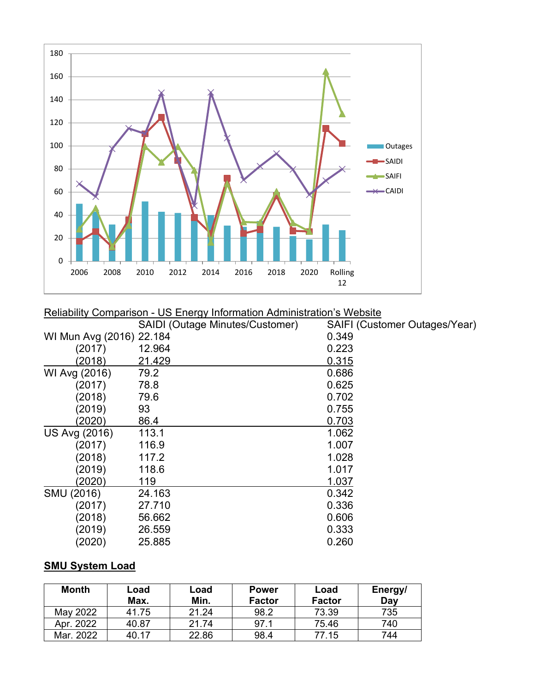

#### Reliability Comparison - US Energy Information Administration's Website

|                          | SAIDI (Outage Minutes/Customer) | SAIFI (Customer Outages/Year) |
|--------------------------|---------------------------------|-------------------------------|
| WI Mun Avg (2016) 22.184 |                                 | 0.349                         |
| (2017)                   | 12.964                          | 0.223                         |
| (2018)                   | 21.429                          | 0.315                         |
| WI Avg (2016)            | 79.2                            | 0.686                         |
| (2017)                   | 78.8                            | 0.625                         |
| (2018)                   | 79.6                            | 0.702                         |
| (2019)                   | 93                              | 0.755                         |
| (2020)                   | 86.4                            | 0.703                         |
| US Avg (2016)            | 113.1                           | 1.062                         |
| (2017)                   | 116.9                           | 1.007                         |
| (2018)                   | 117.2                           | 1.028                         |
| (2019)                   | 118.6                           | 1.017                         |
| (2020)                   | 119                             | 1.037                         |
| SMU (2016)               | 24.163                          | 0.342                         |
| (2017)                   | 27.710                          | 0.336                         |
| (2018)                   | 56.662                          | 0.606                         |
| (2019)                   | 26.559                          | 0.333                         |
| (2020)                   | 25.885                          | 0.260                         |

# **SMU System Load**

| <b>Month</b> | Load<br>Max. | Load<br>Min. | <b>Power</b><br><b>Factor</b> | Load<br><b>Factor</b> | Energy/<br>Day |
|--------------|--------------|--------------|-------------------------------|-----------------------|----------------|
| May 2022     | 41.75        | 21.24        | 98.2                          | 73.39                 | 735            |
| Apr. 2022    | 40.87        | 21.74        | 97.1                          | 75.46                 | 740            |
| Mar. 2022    | 40.17        | 22.86        | 98.4                          | 77.15                 | 744            |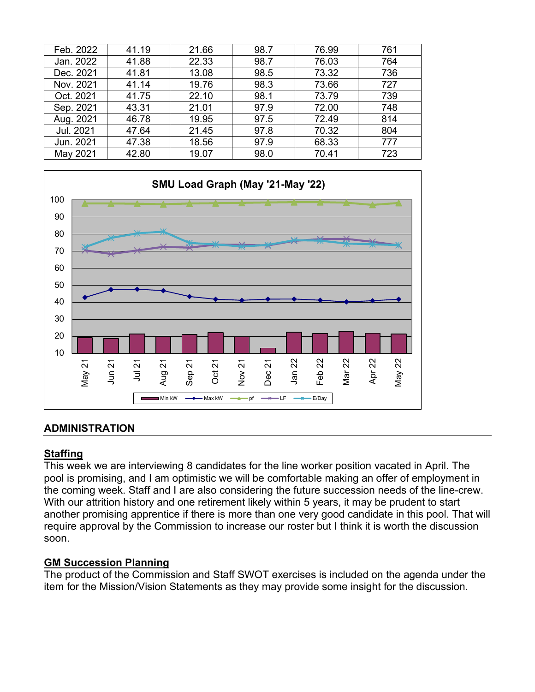| Feb. 2022 | 41.19 | 21.66 | 98.7 | 76.99 | 761 |
|-----------|-------|-------|------|-------|-----|
| Jan. 2022 | 41.88 | 22.33 | 98.7 | 76.03 | 764 |
| Dec. 2021 | 41.81 | 13.08 | 98.5 | 73.32 | 736 |
| Nov. 2021 | 41.14 | 19.76 | 98.3 | 73.66 | 727 |
| Oct. 2021 | 41.75 | 22.10 | 98.1 | 73.79 | 739 |
| Sep. 2021 | 43.31 | 21.01 | 97.9 | 72.00 | 748 |
| Aug. 2021 | 46.78 | 19.95 | 97.5 | 72.49 | 814 |
| Jul. 2021 | 47.64 | 21.45 | 97.8 | 70.32 | 804 |
| Jun. 2021 | 47.38 | 18.56 | 97.9 | 68.33 | 777 |
| May 2021  | 42.80 | 19.07 | 98.0 | 70.41 | 723 |



### **ADMINISTRATION**

### **Staffing**

This week we are interviewing 8 candidates for the line worker position vacated in April. The pool is promising, and I am optimistic we will be comfortable making an offer of employment in the coming week. Staff and I are also considering the future succession needs of the line-crew. With our attrition history and one retirement likely within 5 years, it may be prudent to start another promising apprentice if there is more than one very good candidate in this pool. That will require approval by the Commission to increase our roster but I think it is worth the discussion soon.

### **GM Succession Planning**

The product of the Commission and Staff SWOT exercises is included on the agenda under the item for the Mission/Vision Statements as they may provide some insight for the discussion.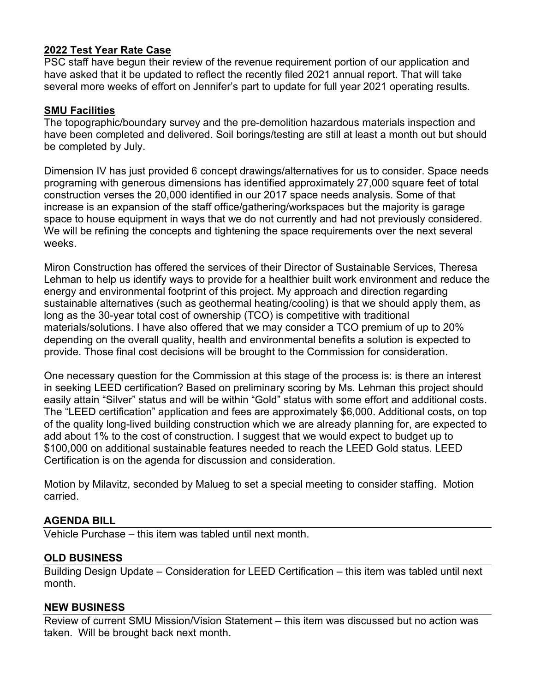### **2022 Test Year Rate Case**

PSC staff have begun their review of the revenue requirement portion of our application and have asked that it be updated to reflect the recently filed 2021 annual report. That will take several more weeks of effort on Jennifer's part to update for full year 2021 operating results.

### **SMU Facilities**

The topographic/boundary survey and the pre-demolition hazardous materials inspection and have been completed and delivered. Soil borings/testing are still at least a month out but should be completed by July.

Dimension IV has just provided 6 concept drawings/alternatives for us to consider. Space needs programing with generous dimensions has identified approximately 27,000 square feet of total construction verses the 20,000 identified in our 2017 space needs analysis. Some of that increase is an expansion of the staff office/gathering/workspaces but the majority is garage space to house equipment in ways that we do not currently and had not previously considered. We will be refining the concepts and tightening the space requirements over the next several weeks.

Miron Construction has offered the services of their Director of Sustainable Services, Theresa Lehman to help us identify ways to provide for a healthier built work environment and reduce the energy and environmental footprint of this project. My approach and direction regarding sustainable alternatives (such as geothermal heating/cooling) is that we should apply them, as long as the 30-year total cost of ownership (TCO) is competitive with traditional materials/solutions. I have also offered that we may consider a TCO premium of up to 20% depending on the overall quality, health and environmental benefits a solution is expected to provide. Those final cost decisions will be brought to the Commission for consideration.

One necessary question for the Commission at this stage of the process is: is there an interest in seeking LEED certification? Based on preliminary scoring by Ms. Lehman this project should easily attain "Silver" status and will be within "Gold" status with some effort and additional costs. The "LEED certification" application and fees are approximately \$6,000. Additional costs, on top of the quality long-lived building construction which we are already planning for, are expected to add about 1% to the cost of construction. I suggest that we would expect to budget up to \$100,000 on additional sustainable features needed to reach the LEED Gold status. LEED Certification is on the agenda for discussion and consideration.

Motion by Milavitz, seconded by Malueg to set a special meeting to consider staffing. Motion carried.

# **AGENDA BILL**

Vehicle Purchase – this item was tabled until next month.

### **OLD BUSINESS**

Building Design Update – Consideration for LEED Certification – this item was tabled until next month.

### **NEW BUSINESS**

Review of current SMU Mission/Vision Statement – this item was discussed but no action was taken. Will be brought back next month.